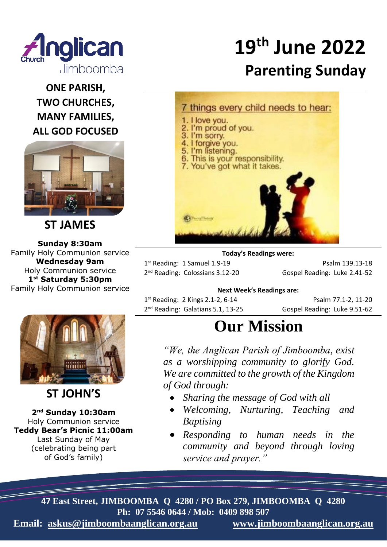

**ONE PARISH, TWO CHURCHES, MANY FAMILIES, ALL GOD FOCUSED**



**ST JAMES**

**Sunday 8:30am**  Family Holy Communion service **Wednesday 9am**  Holy Communion service **1 st Saturday 5:30pm**  Family Holy Communion service



#### **ST JOHN'S**

**2 nd Sunday 10:30am** Holy Communion service **Teddy Bear's Picnic 11:00am** Last Sunday of May (celebrating being part of God's family)

# **19th June 2022 Parenting Sunday**



**Today's Readings were:**

1st Reading: 1 Samuel 1.9-19 **PSALL 1.9 18 PSALL 139.13-18** 

2<sup>nd</sup> Reading: Colossians 3.12-20 Gospel Reading: Luke 2.41-52

**Next Week's Readings are:**

1<sup>st</sup> Reading: 2 Kings 2.1-2, 6-14 Psalm 77.1-2, 11-20 2<sup>nd</sup> Reading: Galatians 5.1, 13-25 Gospel Reading: Luke 9.51-62

# **Our Mission**

*"We, the Anglican Parish of Jimboomba, exist as a worshipping community to glorify God. We are committed to the growth of the Kingdom of God through:*

- *Sharing the message of God with all*
- *Welcoming, Nurturing, Teaching and Baptising*
- *Responding to human needs in the community and beyond through loving service and prayer."*

**47 East Street, JIMBOOMBA Q 4280 / PO Box 279, JIMBOOMBA Q 4280 Ph: 07 5546 0644 / Mob: 0409 898 507**

**Email: [askus@jimboombaanglican.org.au](mailto:askus@jimboombaanglican.org.au) [www.jimboombaanglican.org.au](http://www.jimboombaanglican.org.au/)**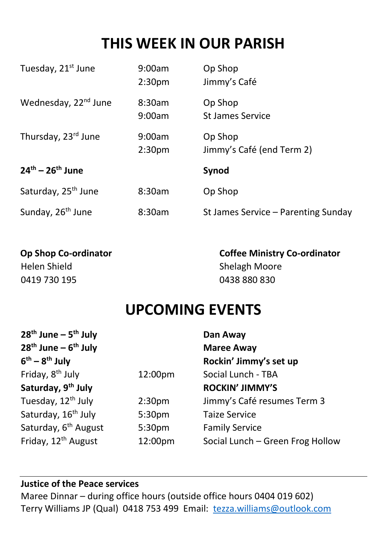# **THIS WEEK IN OUR PARISH**

| Tuesday, 21 <sup>st</sup> June   | 9:00am<br>2:30 <sub>pm</sub> | Op Shop<br>Jimmy's Café              |  |
|----------------------------------|------------------------------|--------------------------------------|--|
| Wednesday, 22 <sup>nd</sup> June | 8:30am<br>9:00am             | Op Shop<br>St James Service          |  |
| Thursday, 23rd June              | 9:00am<br>2:30 <sub>pm</sub> | Op Shop<br>Jimmy's Café (end Term 2) |  |
| $24^{th} - 26^{th}$ June         |                              | Synod                                |  |
| Saturday, 25 <sup>th</sup> June  | 8:30am                       | Op Shop                              |  |
| Sunday, 26 <sup>th</sup> June    | 8:30am                       | St James Service - Parenting Sunday  |  |

| <b>Op Shop Co-ordinator</b> |  |  |  |  |
|-----------------------------|--|--|--|--|
| Helen Shield                |  |  |  |  |
| 0419 730 195                |  |  |  |  |

**Op Shop Co-ordinator Coffee Ministry Co-ordinator** Shelagh Moore 0438 880 830

# **UPCOMING EVENTS**

| $28th$ June – $5th$ July<br>$28th$ June – $6th$ July |                    | Dan Away<br><b>Maree Away</b>    |
|------------------------------------------------------|--------------------|----------------------------------|
| $6th - 8th$ July                                     |                    | Rockin' Jimmy's set up           |
| Friday, 8 <sup>th</sup> July                         | 12:00pm            | Social Lunch - TBA               |
| Saturday, 9 <sup>th</sup> July                       |                    | <b>ROCKIN' JIMMY'S</b>           |
| Tuesday, 12 <sup>th</sup> July                       | 2:30 <sub>pm</sub> | Jimmy's Café resumes Term 3      |
| Saturday, 16 <sup>th</sup> July                      | 5:30pm             | <b>Taize Service</b>             |
| Saturday, 6 <sup>th</sup> August                     | 5:30pm             | <b>Family Service</b>            |
| Friday, 12 <sup>th</sup> August                      | 12:00pm            | Social Lunch - Green Frog Hollow |

#### **Justice of the Peace services**

Maree Dinnar – during office hours (outside office hours 0404 019 602) Terry Williams JP (Qual) 0418 753 499 Email: [tezza.williams@outlook.com](mailto:tezza.williams@outlook.com)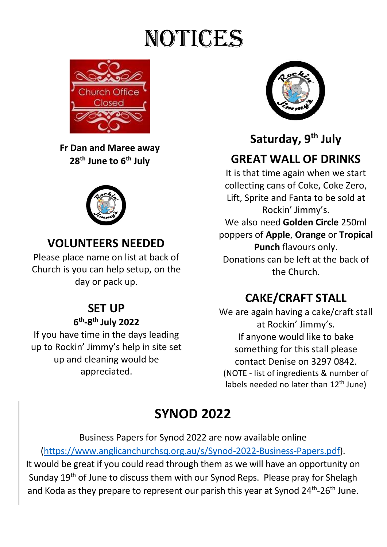# NOTICES



**Fr Dan and Maree away 28th June to 6th July**



### **VOLUNTEERS NEEDED**

Please place name on list at back of Church is you can help setup, on the day or pack up.

#### **SET UP 6 th -8 th July 2022**

If you have time in the days leading up to Rockin' Jimmy's help in site set up and cleaning would be appreciated.



**Saturday, 9th July**

# **GREAT WALL OF DRINKS**

It is that time again when we start collecting cans of Coke, Coke Zero, Lift, Sprite and Fanta to be sold at Rockin' Jimmy's. We also need **Golden Circle** 250ml poppers of **Apple**, **Orange** or **Tropical Punch** flavours only. Donations can be left at the back of the Church.

## **CAKE/CRAFT STALL**

We are again having a cake/craft stall at Rockin' Jimmy's. If anyone would like to bake something for this stall please contact Denise on 3297 0842. (NOTE - list of ingredients & number of labels needed no later than 12<sup>th</sup> June)

# **SYNOD 2022**

Business Papers for Synod 2022 are now available online

[\(https://www.anglicanchurchsq.org.au/s/Synod-2022-Business-Papers.pdf\)](https://www.anglicanchurchsq.org.au/s/Synod-2022-Business-Papers.pdf).

It would be great if you could read through them as we will have an opportunity on Sunday 19<sup>th</sup> of June to discuss them with our Synod Reps. Please pray for Shelagh and Koda as they prepare to represent our parish this year at Synod 24<sup>th</sup>-26<sup>th</sup> June.